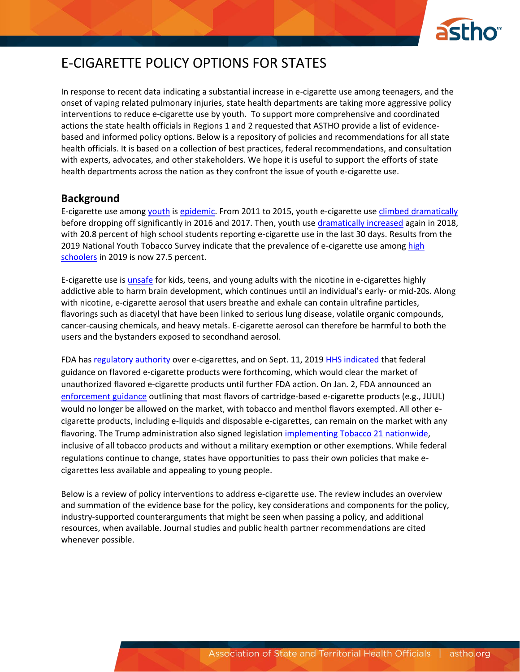

## E-CIGARETTE POLICY OPTIONS FOR STATES

In response to recent data indicating a substantial increase in e-cigarette use among teenagers, and the onset of vaping related pulmonary injuries, state health departments are taking more aggressive policy interventions to reduce e-cigarette use by youth. To support more comprehensive and coordinated actions the state health officials in Regions 1 and 2 requested that ASTHO provide a list of evidencebased and informed policy options. Below is a repository of policies and recommendations for all state health officials. It is based on a collection of best practices, federal recommendations, and consultation with experts, advocates, and other stakeholders. We hope it is useful to support the efforts of state health departments across the nation as they confront the issue of youth e-cigarette use.

#### **Background**

E-cigarette use among [youth](https://www.fda.gov/news-events/press-announcements/statement-fda-commissioner-scott-gottlieb-md-new-data-demonstrating-rising-youth-use-tobacco) is [epidemic.](https://e-cigarettes.surgeongeneral.gov/documents/surgeon-generals-advisory-on-e-cigarette-use-among-youth-2018.pdf) From 2011 to 2015, youth e-cigarette use [climbed dramatically](https://www.cdc.gov/mmwr/volumes/68/wr/mm6806e1.htm?s_cid=mm6806e1_w) before dropping off significantly in 2016 and 2017. Then, youth use [dramatically](https://www.cdc.gov/vitalsigns/youth-tobacco-use/index.html) increased again in 2018, with 20.8 percent of high school students reporting e-cigarette use in the last 30 days. Results from the 2019 National Youth Tobacco Survey indicate that the prevalence of e-cigarette use among high [schoolers](https://jamanetwork.com/journals/jama/article-abstract/2755265) in 2019 is now 27.5 percent.

E-cigarette use is *unsafe* for kids, teens, and young adults with the nicotine in e-cigarettes highly addictive able to harm brain development, which continues until an individual's early- or mid-20s. Along with nicotine, e-cigarette aerosol that users breathe and exhale can contain ultrafine particles, flavorings such as diacetyl that have been linked to serious lung disease, volatile organic compounds, cancer-causing chemicals, and heavy metals. E-cigarette aerosol can therefore be harmful to both the users and the bystanders exposed to secondhand aerosol.

FDA has [regulatory authority](https://www.fda.gov/tobacco-products/rules-regulations-and-guidance/fdas-deeming-regulations-e-cigarettes-cigars-and-all-other-tobacco-products) over e-cigarettes, and on Sept. 11, 201[9 HHS indicated](https://www.hhs.gov/about/news/2019/09/11/trump-administration-combating-epidemic-youth-ecigarette-use-plan-clear-market.html) that federal guidance on flavored e-cigarette products were forthcoming, which would clear the market of unauthorized flavored e-cigarette products until further FDA action. On Jan. 2, FDA announced an [enforcement guidance](https://www.fda.gov/news-events/press-announcements/fda-finalizes-enforcement-policy-unauthorized-flavored-cartridge-based-e-cigarettes-appeal-children) outlining that most flavors of cartridge-based e-cigarette products (e.g., JUUL) would no longer be allowed on the market, with tobacco and menthol flavors exempted. All other ecigarette products, including e-liquids and disposable e-cigarettes, can remain on the market with any flavoring. The Trump administration also signed legislatio[n implementing Tobacco 21 nationwide,](https://abcnews.go.com/US/trump-administration-raises-legal-age-buy-tobacco-us/story?id=67853526) inclusive of all tobacco products and without a military exemption or other exemptions. While federal regulations continue to change, states have opportunities to pass their own policies that make ecigarettes less available and appealing to young people.

Below is a review of policy interventions to address e-cigarette use. The review includes an overview and summation of the evidence base for the policy, key considerations and components for the policy, industry-supported counterarguments that might be seen when passing a policy, and additional resources, when available. Journal studies and public health partner recommendations are cited whenever possible.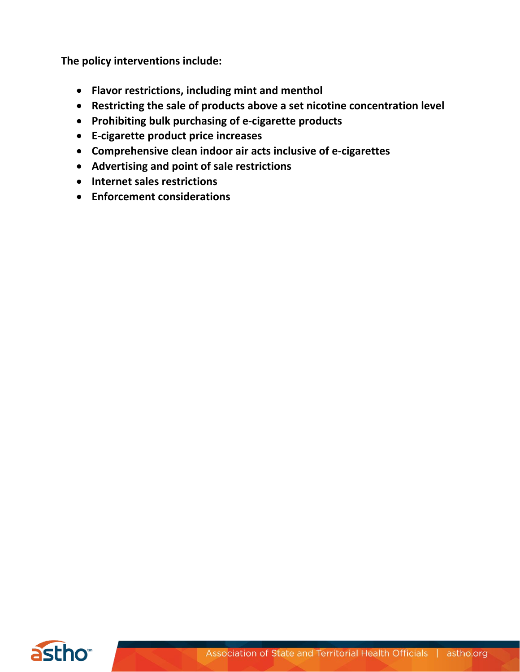**The policy interventions include:**

- **Flavor restrictions, including mint and menthol**
- **Restricting the sale of products above a set nicotine concentration level**
- **Prohibiting bulk purchasing of e-cigarette products**
- **E-cigarette product price increases**
- **Comprehensive clean indoor air acts inclusive of e-cigarettes**
- **Advertising and point of sale restrictions**
- **Internet sales restrictions**
- **Enforcement considerations**

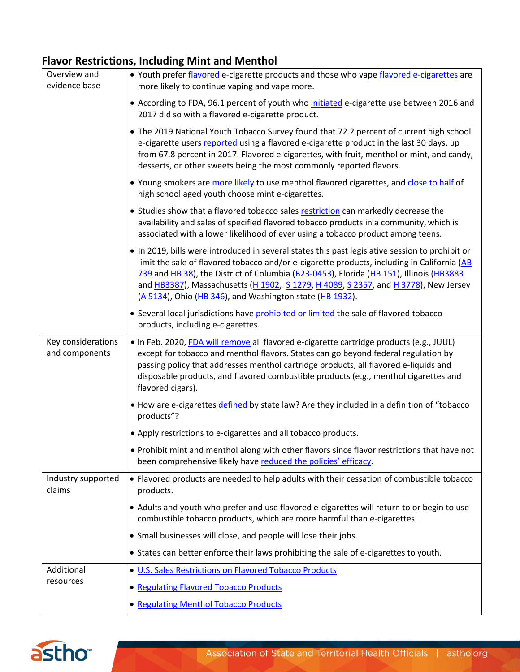## **Flavor Restrictions, Including Mint and Menthol**

| Overview and<br>evidence base        | . Youth prefer flavored e-cigarette products and those who vape flavored e-cigarettes are<br>more likely to continue vaping and vape more.                                                                                                                                                                                                                                                                                                   |
|--------------------------------------|----------------------------------------------------------------------------------------------------------------------------------------------------------------------------------------------------------------------------------------------------------------------------------------------------------------------------------------------------------------------------------------------------------------------------------------------|
|                                      | • According to FDA, 96.1 percent of youth who initiated e-cigarette use between 2016 and<br>2017 did so with a flavored e-cigarette product.                                                                                                                                                                                                                                                                                                 |
|                                      | • The 2019 National Youth Tobacco Survey found that 72.2 percent of current high school<br>e-cigarette users reported using a flavored e-cigarette product in the last 30 days, up<br>from 67.8 percent in 2017. Flavored e-cigarettes, with fruit, menthol or mint, and candy,<br>desserts, or other sweets being the most commonly reported flavors.                                                                                       |
|                                      | . Young smokers are more likely to use menthol flavored cigarettes, and close to half of<br>high school aged youth choose mint e-cigarettes.                                                                                                                                                                                                                                                                                                 |
|                                      | • Studies show that a flavored tobacco sales restriction can markedly decrease the<br>availability and sales of specified flavored tobacco products in a community, which is<br>associated with a lower likelihood of ever using a tobacco product among teens.                                                                                                                                                                              |
|                                      | . In 2019, bills were introduced in several states this past legislative session to prohibit or<br>limit the sale of flavored tobacco and/or e-cigarette products, including in California (AB<br>739 and HB 38), the District of Columbia (B23-0453), Florida (HB 151), Illinois (HB3883<br>and HB3387), Massachusetts (H 1902, S 1279, H 4089, S 2357, and H 3778), New Jersey<br>(A 5134), Ohio (HB 346), and Washington state (HB 1932). |
|                                      | • Several local jurisdictions have prohibited or limited the sale of flavored tobacco<br>products, including e-cigarettes.                                                                                                                                                                                                                                                                                                                   |
| Key considerations<br>and components | · In Feb. 2020, FDA will remove all flavored e-cigarette cartridge products (e.g., JUUL)<br>except for tobacco and menthol flavors. States can go beyond federal regulation by<br>passing policy that addresses menthol cartridge products, all flavored e-liquids and<br>disposable products, and flavored combustible products (e.g., menthol cigarettes and<br>flavored cigars).                                                          |
|                                      | . How are e-cigarettes defined by state law? Are they included in a definition of "tobacco<br>products"?                                                                                                                                                                                                                                                                                                                                     |
|                                      | • Apply restrictions to e-cigarettes and all tobacco products.                                                                                                                                                                                                                                                                                                                                                                               |
|                                      | . Prohibit mint and menthol along with other flavors since flavor restrictions that have not<br>been comprehensive likely have reduced the policies' efficacy.                                                                                                                                                                                                                                                                               |
| Industry supported<br>claims         | • Flavored products are needed to help adults with their cessation of combustible tobacco<br>products.                                                                                                                                                                                                                                                                                                                                       |
|                                      | • Adults and youth who prefer and use flavored e-cigarettes will return to or begin to use<br>combustible tobacco products, which are more harmful than e-cigarettes.                                                                                                                                                                                                                                                                        |
|                                      | • Small businesses will close, and people will lose their jobs.                                                                                                                                                                                                                                                                                                                                                                              |
|                                      | • States can better enforce their laws prohibiting the sale of e-cigarettes to youth.                                                                                                                                                                                                                                                                                                                                                        |
| Additional                           | . U.S. Sales Restrictions on Flavored Tobacco Products                                                                                                                                                                                                                                                                                                                                                                                       |
| resources                            | • Regulating Flavored Tobacco Products                                                                                                                                                                                                                                                                                                                                                                                                       |
|                                      | • Regulating Menthol Tobacco Products                                                                                                                                                                                                                                                                                                                                                                                                        |

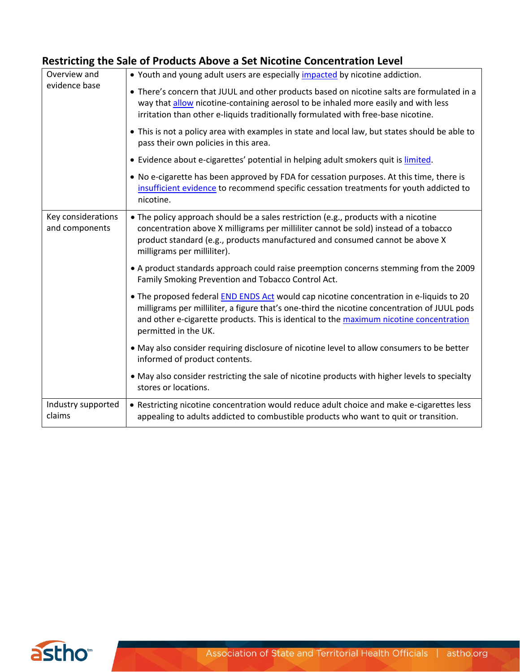#### **Restricting the Sale of Products Above a Set Nicotine Concentration Level**

| Overview and                         | • Youth and young adult users are especially impacted by nicotine addiction.                                                                                                                                                                                                                                      |
|--------------------------------------|-------------------------------------------------------------------------------------------------------------------------------------------------------------------------------------------------------------------------------------------------------------------------------------------------------------------|
| evidence base                        | • There's concern that JUUL and other products based on nicotine salts are formulated in a<br>way that allow nicotine-containing aerosol to be inhaled more easily and with less<br>irritation than other e-liquids traditionally formulated with free-base nicotine.                                             |
|                                      | • This is not a policy area with examples in state and local law, but states should be able to<br>pass their own policies in this area.                                                                                                                                                                           |
|                                      | • Evidence about e-cigarettes' potential in helping adult smokers quit is limited.                                                                                                                                                                                                                                |
|                                      | . No e-cigarette has been approved by FDA for cessation purposes. At this time, there is<br>insufficient evidence to recommend specific cessation treatments for youth addicted to<br>nicotine.                                                                                                                   |
| Key considerations<br>and components | • The policy approach should be a sales restriction (e.g., products with a nicotine<br>concentration above X milligrams per milliliter cannot be sold) instead of a tobacco<br>product standard (e.g., products manufactured and consumed cannot be above X<br>milligrams per milliliter).                        |
|                                      | • A product standards approach could raise preemption concerns stemming from the 2009<br>Family Smoking Prevention and Tobacco Control Act.                                                                                                                                                                       |
|                                      | . The proposed federal <b>END ENDS Act</b> would cap nicotine concentration in e-liquids to 20<br>milligrams per milliliter, a figure that's one-third the nicotine concentration of JUUL pods<br>and other e-cigarette products. This is identical to the maximum nicotine concentration<br>permitted in the UK. |
|                                      | . May also consider requiring disclosure of nicotine level to allow consumers to be better<br>informed of product contents.                                                                                                                                                                                       |
|                                      | . May also consider restricting the sale of nicotine products with higher levels to specialty<br>stores or locations.                                                                                                                                                                                             |
| Industry supported<br>claims         | • Restricting nicotine concentration would reduce adult choice and make e-cigarettes less<br>appealing to adults addicted to combustible products who want to quit or transition.                                                                                                                                 |

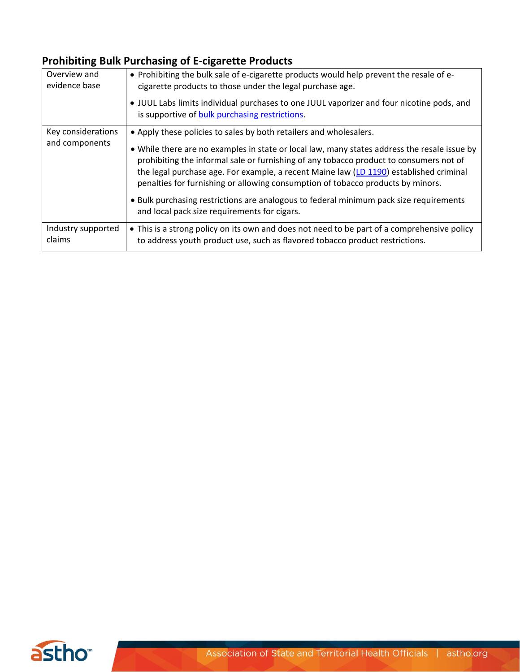## **Prohibiting Bulk Purchasing of E-cigarette Products**

| Overview and<br>evidence base        | • Prohibiting the bulk sale of e-cigarette products would help prevent the resale of e-<br>cigarette products to those under the legal purchase age.<br>. JUUL Labs limits individual purchases to one JUUL vaporizer and four nicotine pods, and<br>is supportive of bulk purchasing restrictions.                                                                                                                                                                                                                                                                                 |
|--------------------------------------|-------------------------------------------------------------------------------------------------------------------------------------------------------------------------------------------------------------------------------------------------------------------------------------------------------------------------------------------------------------------------------------------------------------------------------------------------------------------------------------------------------------------------------------------------------------------------------------|
| Key considerations<br>and components | • Apply these policies to sales by both retailers and wholesalers.<br>. While there are no examples in state or local law, many states address the resale issue by<br>prohibiting the informal sale or furnishing of any tobacco product to consumers not of<br>the legal purchase age. For example, a recent Maine law (LD 1190) established criminal<br>penalties for furnishing or allowing consumption of tobacco products by minors.<br>. Bulk purchasing restrictions are analogous to federal minimum pack size requirements<br>and local pack size requirements for cigars. |
| Industry supported<br>claims         | • This is a strong policy on its own and does not need to be part of a comprehensive policy<br>to address youth product use, such as flavored tobacco product restrictions.                                                                                                                                                                                                                                                                                                                                                                                                         |

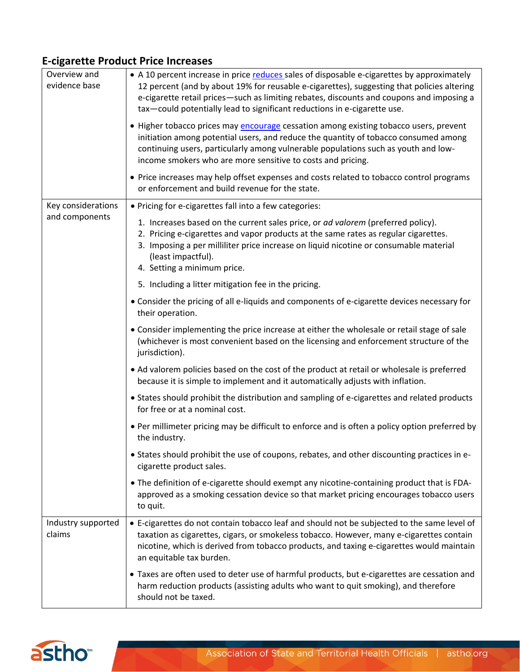#### **E-cigarette Product Price Increases**

| Overview and<br>evidence base | • A 10 percent increase in price reduces sales of disposable e-cigarettes by approximately<br>12 percent (and by about 19% for reusable e-cigarettes), suggesting that policies altering<br>e-cigarette retail prices-such as limiting rebates, discounts and coupons and imposing a<br>tax-could potentially lead to significant reductions in e-cigarette use. |
|-------------------------------|------------------------------------------------------------------------------------------------------------------------------------------------------------------------------------------------------------------------------------------------------------------------------------------------------------------------------------------------------------------|
|                               | • Higher tobacco prices may encourage cessation among existing tobacco users, prevent<br>initiation among potential users, and reduce the quantity of tobacco consumed among<br>continuing users, particularly among vulnerable populations such as youth and low-<br>income smokers who are more sensitive to costs and pricing.                                |
|                               | • Price increases may help offset expenses and costs related to tobacco control programs<br>or enforcement and build revenue for the state.                                                                                                                                                                                                                      |
| Key considerations            | • Pricing for e-cigarettes fall into a few categories:                                                                                                                                                                                                                                                                                                           |
| and components                | 1. Increases based on the current sales price, or ad valorem (preferred policy).<br>2. Pricing e-cigarettes and vapor products at the same rates as regular cigarettes.<br>3. Imposing a per milliliter price increase on liquid nicotine or consumable material<br>(least impactful).<br>4. Setting a minimum price.                                            |
|                               | 5. Including a litter mitigation fee in the pricing.                                                                                                                                                                                                                                                                                                             |
|                               | • Consider the pricing of all e-liquids and components of e-cigarette devices necessary for<br>their operation.                                                                                                                                                                                                                                                  |
|                               | • Consider implementing the price increase at either the wholesale or retail stage of sale<br>(whichever is most convenient based on the licensing and enforcement structure of the<br>jurisdiction).                                                                                                                                                            |
|                               | • Ad valorem policies based on the cost of the product at retail or wholesale is preferred<br>because it is simple to implement and it automatically adjusts with inflation.                                                                                                                                                                                     |
|                               | • States should prohibit the distribution and sampling of e-cigarettes and related products<br>for free or at a nominal cost.                                                                                                                                                                                                                                    |
|                               | • Per millimeter pricing may be difficult to enforce and is often a policy option preferred by<br>the industry.                                                                                                                                                                                                                                                  |
|                               | • States should prohibit the use of coupons, rebates, and other discounting practices in e-<br>cigarette product sales.                                                                                                                                                                                                                                          |
|                               | • The definition of e-cigarette should exempt any nicotine-containing product that is FDA-<br>approved as a smoking cessation device so that market pricing encourages tobacco users<br>to quit.                                                                                                                                                                 |
| Industry supported<br>claims  | • E-cigarettes do not contain tobacco leaf and should not be subjected to the same level of<br>taxation as cigarettes, cigars, or smokeless tobacco. However, many e-cigarettes contain<br>nicotine, which is derived from tobacco products, and taxing e-cigarettes would maintain<br>an equitable tax burden.                                                  |
|                               | • Taxes are often used to deter use of harmful products, but e-cigarettes are cessation and<br>harm reduction products (assisting adults who want to quit smoking), and therefore<br>should not be taxed.                                                                                                                                                        |

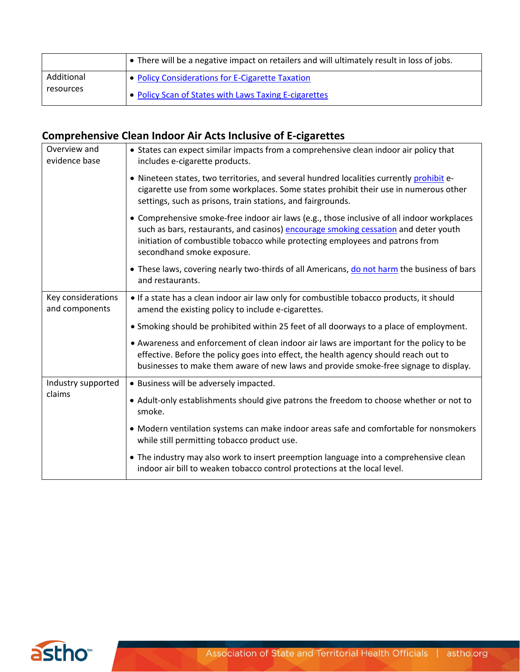|            | • There will be a negative impact on retailers and will ultimately result in loss of jobs. |
|------------|--------------------------------------------------------------------------------------------|
| Additional | • Policy Considerations for E-Cigarette Taxation                                           |
| resources  | • Policy Scan of States with Laws Taxing E-cigarettes                                      |

# **Comprehensive Clean Indoor Air Acts Inclusive of E-cigarettes**

| Overview and<br>evidence base        | • States can expect similar impacts from a comprehensive clean indoor air policy that<br>includes e-cigarette products.                                                                                                                                                                          |
|--------------------------------------|--------------------------------------------------------------------------------------------------------------------------------------------------------------------------------------------------------------------------------------------------------------------------------------------------|
|                                      | . Nineteen states, two territories, and several hundred localities currently prohibit e-<br>cigarette use from some workplaces. Some states prohibit their use in numerous other<br>settings, such as prisons, train stations, and fairgrounds.                                                  |
|                                      | • Comprehensive smoke-free indoor air laws (e.g., those inclusive of all indoor workplaces<br>such as bars, restaurants, and casinos) encourage smoking cessation and deter youth<br>initiation of combustible tobacco while protecting employees and patrons from<br>secondhand smoke exposure. |
|                                      | • These laws, covering nearly two-thirds of all Americans, do not harm the business of bars<br>and restaurants.                                                                                                                                                                                  |
| Key considerations<br>and components | . If a state has a clean indoor air law only for combustible tobacco products, it should<br>amend the existing policy to include e-cigarettes.                                                                                                                                                   |
|                                      | • Smoking should be prohibited within 25 feet of all doorways to a place of employment.                                                                                                                                                                                                          |
|                                      | • Awareness and enforcement of clean indoor air laws are important for the policy to be<br>effective. Before the policy goes into effect, the health agency should reach out to<br>businesses to make them aware of new laws and provide smoke-free signage to display.                          |
| Industry supported<br>claims         | · Business will be adversely impacted.                                                                                                                                                                                                                                                           |
|                                      | • Adult-only establishments should give patrons the freedom to choose whether or not to<br>smoke.                                                                                                                                                                                                |
|                                      | • Modern ventilation systems can make indoor areas safe and comfortable for nonsmokers<br>while still permitting tobacco product use.                                                                                                                                                            |
|                                      | • The industry may also work to insert preemption language into a comprehensive clean<br>indoor air bill to weaken tobacco control protections at the local level.                                                                                                                               |

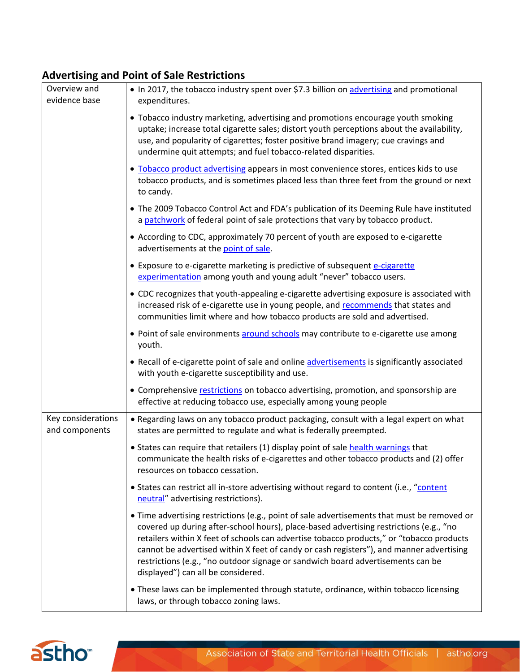#### **Advertising and Point of Sale Restrictions**

| Overview and<br>evidence base        | • In 2017, the tobacco industry spent over \$7.3 billion on advertising and promotional<br>expenditures.                                                                                                                                                                                                                                                                                                                                                                                              |
|--------------------------------------|-------------------------------------------------------------------------------------------------------------------------------------------------------------------------------------------------------------------------------------------------------------------------------------------------------------------------------------------------------------------------------------------------------------------------------------------------------------------------------------------------------|
|                                      | • Tobacco industry marketing, advertising and promotions encourage youth smoking<br>uptake; increase total cigarette sales; distort youth perceptions about the availability,<br>use, and popularity of cigarettes; foster positive brand imagery; cue cravings and<br>undermine quit attempts; and fuel tobacco-related disparities.                                                                                                                                                                 |
|                                      | . Tobacco product advertising appears in most convenience stores, entices kids to use<br>tobacco products, and is sometimes placed less than three feet from the ground or next<br>to candy.                                                                                                                                                                                                                                                                                                          |
|                                      | • The 2009 Tobacco Control Act and FDA's publication of its Deeming Rule have instituted<br>a patchwork of federal point of sale protections that vary by tobacco product.                                                                                                                                                                                                                                                                                                                            |
|                                      | • According to CDC, approximately 70 percent of youth are exposed to e-cigarette<br>advertisements at the point of sale.                                                                                                                                                                                                                                                                                                                                                                              |
|                                      | • Exposure to e-cigarette marketing is predictive of subsequent e-cigarette<br>experimentation among youth and young adult "never" tobacco users.                                                                                                                                                                                                                                                                                                                                                     |
|                                      | • CDC recognizes that youth-appealing e-cigarette advertising exposure is associated with<br>increased risk of e-cigarette use in young people, and recommends that states and<br>communities limit where and how tobacco products are sold and advertised.                                                                                                                                                                                                                                           |
|                                      | • Point of sale environments around schools may contribute to e-cigarette use among<br>youth.                                                                                                                                                                                                                                                                                                                                                                                                         |
|                                      | • Recall of e-cigarette point of sale and online advertisements is significantly associated<br>with youth e-cigarette susceptibility and use.                                                                                                                                                                                                                                                                                                                                                         |
|                                      | • Comprehensive restrictions on tobacco advertising, promotion, and sponsorship are<br>effective at reducing tobacco use, especially among young people                                                                                                                                                                                                                                                                                                                                               |
| Key considerations<br>and components | • Regarding laws on any tobacco product packaging, consult with a legal expert on what<br>states are permitted to regulate and what is federally preempted.                                                                                                                                                                                                                                                                                                                                           |
|                                      | • States can require that retailers (1) display point of sale health warnings that<br>communicate the health risks of e-cigarettes and other tobacco products and (2) offer<br>resources on tobacco cessation.                                                                                                                                                                                                                                                                                        |
|                                      | • States can restrict all in-store advertising without regard to content (i.e., "content<br>neutral" advertising restrictions).                                                                                                                                                                                                                                                                                                                                                                       |
|                                      | • Time advertising restrictions (e.g., point of sale advertisements that must be removed or<br>covered up during after-school hours), place-based advertising restrictions (e.g., "no<br>retailers within X feet of schools can advertise tobacco products," or "tobacco products<br>cannot be advertised within X feet of candy or cash registers"), and manner advertising<br>restrictions (e.g., "no outdoor signage or sandwich board advertisements can be<br>displayed") can all be considered. |
|                                      | • These laws can be implemented through statute, ordinance, within tobacco licensing<br>laws, or through tobacco zoning laws.                                                                                                                                                                                                                                                                                                                                                                         |

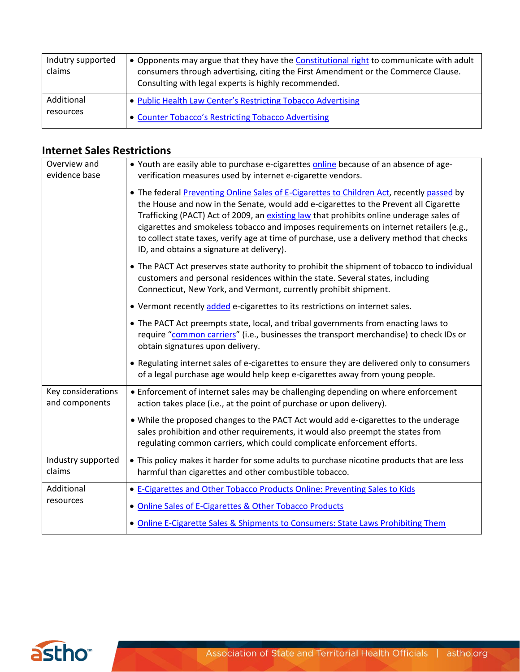| Indutry supported<br>claims | • Opponents may argue that they have the Constitutional right to communicate with adult<br>consumers through advertising, citing the First Amendment or the Commerce Clause.<br>Consulting with legal experts is highly recommended. |
|-----------------------------|--------------------------------------------------------------------------------------------------------------------------------------------------------------------------------------------------------------------------------------|
| Additional                  | • Public Health Law Center's Restricting Tobacco Advertising                                                                                                                                                                         |
| resources                   | • Counter Tobacco's Restricting Tobacco Advertising                                                                                                                                                                                  |

#### **Internet Sales Restrictions**

| Overview and<br>evidence base        | • Youth are easily able to purchase e-cigarettes online because of an absence of age-<br>verification measures used by internet e-cigarette vendors.                                                                                                                                                                                                                                                                                                                                                             |
|--------------------------------------|------------------------------------------------------------------------------------------------------------------------------------------------------------------------------------------------------------------------------------------------------------------------------------------------------------------------------------------------------------------------------------------------------------------------------------------------------------------------------------------------------------------|
|                                      | • The federal Preventing Online Sales of E-Cigarettes to Children Act, recently passed by<br>the House and now in the Senate, would add e-cigarettes to the Prevent all Cigarette<br>Trafficking (PACT) Act of 2009, an existing law that prohibits online underage sales of<br>cigarettes and smokeless tobacco and imposes requirements on internet retailers (e.g.,<br>to collect state taxes, verify age at time of purchase, use a delivery method that checks<br>ID, and obtains a signature at delivery). |
|                                      | • The PACT Act preserves state authority to prohibit the shipment of tobacco to individual<br>customers and personal residences within the state. Several states, including<br>Connecticut, New York, and Vermont, currently prohibit shipment.                                                                                                                                                                                                                                                                  |
|                                      | • Vermont recently added e-cigarettes to its restrictions on internet sales.                                                                                                                                                                                                                                                                                                                                                                                                                                     |
|                                      | • The PACT Act preempts state, local, and tribal governments from enacting laws to<br>require "common carriers" (i.e., businesses the transport merchandise) to check IDs or<br>obtain signatures upon delivery.                                                                                                                                                                                                                                                                                                 |
|                                      | • Regulating internet sales of e-cigarettes to ensure they are delivered only to consumers<br>of a legal purchase age would help keep e-cigarettes away from young people.                                                                                                                                                                                                                                                                                                                                       |
| Key considerations<br>and components | • Enforcement of internet sales may be challenging depending on where enforcement<br>action takes place (i.e., at the point of purchase or upon delivery).                                                                                                                                                                                                                                                                                                                                                       |
|                                      | . While the proposed changes to the PACT Act would add e-cigarettes to the underage<br>sales prohibition and other requirements, it would also preempt the states from<br>regulating common carriers, which could complicate enforcement efforts.                                                                                                                                                                                                                                                                |
| Industry supported<br>claims         | • This policy makes it harder for some adults to purchase nicotine products that are less<br>harmful than cigarettes and other combustible tobacco.                                                                                                                                                                                                                                                                                                                                                              |
| Additional                           | • E-Cigarettes and Other Tobacco Products Online: Preventing Sales to Kids                                                                                                                                                                                                                                                                                                                                                                                                                                       |
| resources                            | • Online Sales of E-Cigarettes & Other Tobacco Products                                                                                                                                                                                                                                                                                                                                                                                                                                                          |
|                                      | • Online E-Cigarette Sales & Shipments to Consumers: State Laws Prohibiting Them                                                                                                                                                                                                                                                                                                                                                                                                                                 |